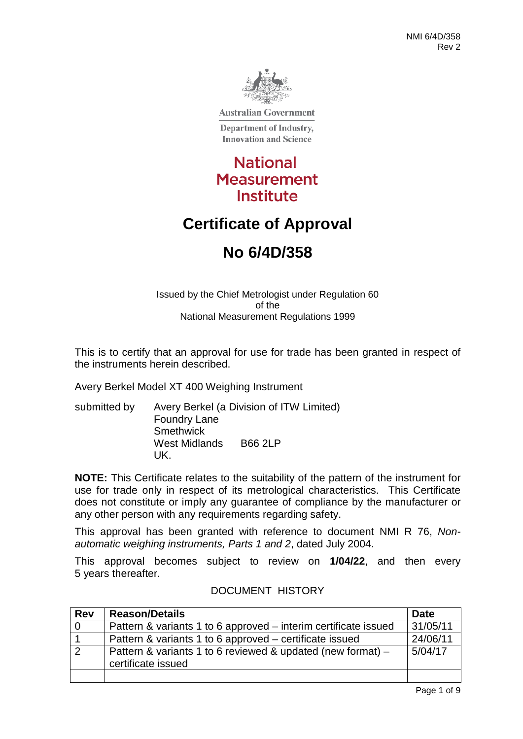

**Australian Government** 

Department of Industry, **Innovation and Science** 

# **National Measurement Institute**

# **Certificate of Approval**

# **No 6/4D/358**

Issued by the Chief Metrologist under Regulation 60 of the National Measurement Regulations 1999

This is to certify that an approval for use for trade has been granted in respect of the instruments herein described.

Avery Berkel Model XT 400 Weighing Instrument

submitted by Avery Berkel (a Division of ITW Limited) Foundry Lane **Smethwick** West Midlands B66 2LP UK.

**NOTE:** This Certificate relates to the suitability of the pattern of the instrument for use for trade only in respect of its metrological characteristics. This Certificate does not constitute or imply any guarantee of compliance by the manufacturer or any other person with any requirements regarding safety.

This approval has been granted with reference to document NMI R 76, *Nonautomatic weighing instruments, Parts 1 and 2*, dated July 2004.

This approval becomes subject to review on **1/04/22**, and then every 5 years thereafter.

### DOCUMENT HISTORY

| <b>Rev</b> | <b>Reason/Details</b>                                                             | <b>Date</b> |
|------------|-----------------------------------------------------------------------------------|-------------|
| $\Omega$   | Pattern & variants 1 to 6 approved – interim certificate issued                   | 31/05/11    |
|            | Pattern & variants 1 to 6 approved – certificate issued                           | 24/06/11    |
| 2          | Pattern & variants 1 to 6 reviewed & updated (new format) –<br>certificate issued | 5/04/17     |
|            |                                                                                   |             |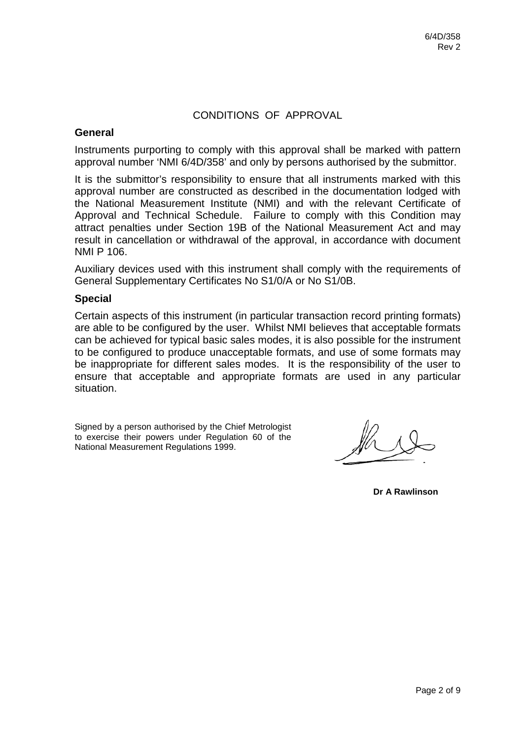### CONDITIONS OF APPROVAL

#### **General**

Instruments purporting to comply with this approval shall be marked with pattern approval number 'NMI 6/4D/358' and only by persons authorised by the submittor.

It is the submittor's responsibility to ensure that all instruments marked with this approval number are constructed as described in the documentation lodged with the National Measurement Institute (NMI) and with the relevant Certificate of Approval and Technical Schedule. Failure to comply with this Condition may attract penalties under Section 19B of the National Measurement Act and may result in cancellation or withdrawal of the approval, in accordance with document NMI P 106.

Auxiliary devices used with this instrument shall comply with the requirements of General Supplementary Certificates No S1/0/A or No S1/0B.

#### **Special**

Certain aspects of this instrument (in particular transaction record printing formats) are able to be configured by the user. Whilst NMI believes that acceptable formats can be achieved for typical basic sales modes, it is also possible for the instrument to be configured to produce unacceptable formats, and use of some formats may be inappropriate for different sales modes. It is the responsibility of the user to ensure that acceptable and appropriate formats are used in any particular situation.

Signed by a person authorised by the Chief Metrologist to exercise their powers under Regulation 60 of the National Measurement Regulations 1999.

**Dr A Rawlinson**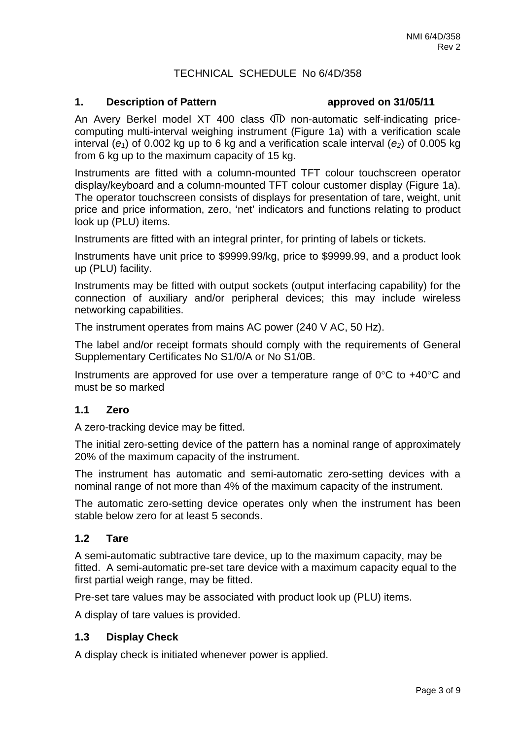### TECHNICAL SCHEDULE No 6/4D/358

#### **1. Description of Pattern approved on 31/05/11**

An Avery Berkel model XT 400 class  $\mathbb D$  non-automatic self-indicating pricecomputing multi-interval weighing instrument (Figure 1a) with a verification scale interval  $(e_1)$  of 0.002 kg up to 6 kg and a verification scale interval  $(e_2)$  of 0.005 kg from 6 kg up to the maximum capacity of 15 kg.

Instruments are fitted with a column-mounted TFT colour touchscreen operator display/keyboard and a column-mounted TFT colour customer display (Figure 1a). The operator touchscreen consists of displays for presentation of tare, weight, unit price and price information, zero, 'net' indicators and functions relating to product look up (PLU) items.

Instruments are fitted with an integral printer, for printing of labels or tickets.

Instruments have unit price to \$9999.99/kg, price to \$9999.99, and a product look up (PLU) facility.

Instruments may be fitted with output sockets (output interfacing capability) for the connection of auxiliary and/or peripheral devices; this may include wireless networking capabilities.

The instrument operates from mains AC power (240 V AC, 50 Hz).

The label and/or receipt formats should comply with the requirements of General Supplementary Certificates No S1/0/A or No S1/0B.

Instruments are approved for use over a temperature range of 0°C to +40°C and must be so marked

#### **1.1 Zero**

A zero-tracking device may be fitted.

The initial zero-setting device of the pattern has a nominal range of approximately 20% of the maximum capacity of the instrument.

The instrument has automatic and semi-automatic zero-setting devices with a nominal range of not more than 4% of the maximum capacity of the instrument.

The automatic zero-setting device operates only when the instrument has been stable below zero for at least 5 seconds.

#### **1.2 Tare**

A semi-automatic subtractive tare device, up to the maximum capacity, may be fitted. A semi-automatic pre-set tare device with a maximum capacity equal to the first partial weigh range, may be fitted.

Pre-set tare values may be associated with product look up (PLU) items.

A display of tare values is provided.

#### **1.3 Display Check**

A display check is initiated whenever power is applied.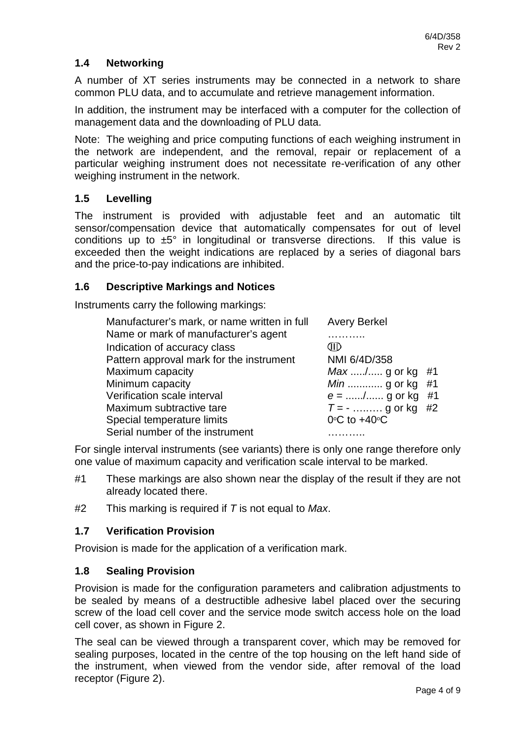## **1.4 Networking**

A number of XT series instruments may be connected in a network to share common PLU data, and to accumulate and retrieve management information.

In addition, the instrument may be interfaced with a computer for the collection of management data and the downloading of PLU data.

Note: The weighing and price computing functions of each weighing instrument in the network are independent, and the removal, repair or replacement of a particular weighing instrument does not necessitate re-verification of any other weighing instrument in the network.

### **1.5 Levelling**

The instrument is provided with adjustable feet and an automatic tilt sensor/compensation device that automatically compensates for out of level conditions up to  $\pm 5^{\circ}$  in longitudinal or transverse directions. If this value is exceeded then the weight indications are replaced by a series of diagonal bars and the price-to-pay indications are inhibited.

### **1.6 Descriptive Markings and Notices**

Instruments carry the following markings:

| Manufacturer's mark, or name written in full | <b>Avery Berkel</b>               |    |
|----------------------------------------------|-----------------------------------|----|
| Name or mark of manufacturer's agent         |                                   |    |
| Indication of accuracy class                 | CHD                               |    |
| Pattern approval mark for the instrument     | NMI 6/4D/358                      |    |
| Maximum capacity                             | $Max$ / g or kg #1                |    |
| Minimum capacity                             | $Min$ g or kg                     | #1 |
| Verification scale interval                  | $e =$ / g or kg                   | #1 |
| Maximum subtractive tare                     | $T = -$ g or kg #2                |    |
| Special temperature limits                   | $0^{\circ}$ C to +40 $^{\circ}$ C |    |
| Serial number of the instrument              |                                   |    |

For single interval instruments (see variants) there is only one range therefore only one value of maximum capacity and verification scale interval to be marked.

- #1 These markings are also shown near the display of the result if they are not already located there.
- #2 This marking is required if *T* is not equal to *Max*.

# **1.7 Verification Provision**

Provision is made for the application of a verification mark.

### **1.8 Sealing Provision**

Provision is made for the configuration parameters and calibration adjustments to be sealed by means of a destructible adhesive label placed over the securing screw of the load cell cover and the service mode switch access hole on the load cell cover, as shown in Figure 2.

The seal can be viewed through a transparent cover, which may be removed for sealing purposes, located in the centre of the top housing on the left hand side of the instrument, when viewed from the vendor side, after removal of the load receptor (Figure 2).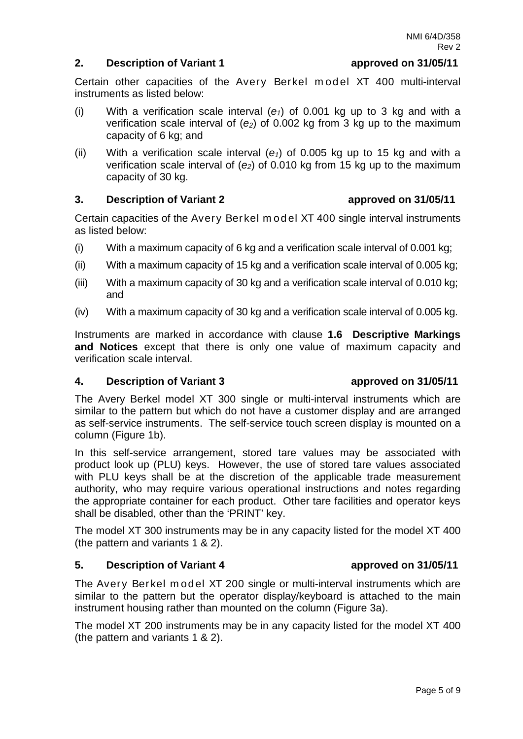#### **2. Description of Variant 1 approved on 31/05/11**

Page 5 of 9

Certain other capacities of the Avery Berkel model XT 400 multi-interval instruments as listed below:

- (i) With a verification scale interval  $(e_1)$  of 0.001 kg up to 3 kg and with a verification scale interval of  $(e_2)$  of 0.002 kg from 3 kg up to the maximum capacity of 6 kg; and
- (ii) With a verification scale interval  $(e_1)$  of 0.005 kg up to 15 kg and with a verification scale interval of (*e2*) of 0.010 kg from 15 kg up to the maximum capacity of 30 kg.

### **3. Description of Variant 2 approved on 31/05/11**

Certain capacities of the Avery Berkel m od el XT 400 single interval instruments as listed below:

- (i) With a maximum capacity of 6 kg and a verification scale interval of 0.001 kg;
- (ii) With a maximum capacity of 15 kg and a verification scale interval of 0.005 kg;
- (iii) With a maximum capacity of 30 kg and a verification scale interval of 0.010 kg; and
- (iv) With a maximum capacity of 30 kg and a verification scale interval of 0.005 kg.

Instruments are marked in accordance with clause **1.6 Descriptive Markings and Notices** except that there is only one value of maximum capacity and verification scale interval.

### **4. Description of Variant 3 approved on 31/05/11**

The Avery Berkel model XT 300 single or multi-interval instruments which are similar to the pattern but which do not have a customer display and are arranged as self-service instruments. The self-service touch screen display is mounted on a column (Figure 1b).

In this self-service arrangement, stored tare values may be associated with product look up (PLU) keys. However, the use of stored tare values associated with PLU keys shall be at the discretion of the applicable trade measurement authority, who may require various operational instructions and notes regarding the appropriate container for each product. Other tare facilities and operator keys shall be disabled, other than the 'PRINT' key.

The model XT 300 instruments may be in any capacity listed for the model XT 400 (the pattern and variants 1 & 2).

# **5. Description of Variant 4 approved on 31/05/11**

The Avery Berkel model XT 200 single or multi-interval instruments which are similar to the pattern but the operator display/keyboard is attached to the main instrument housing rather than mounted on the column (Figure 3a).

The model XT 200 instruments may be in any capacity listed for the model XT 400 (the pattern and variants 1 & 2).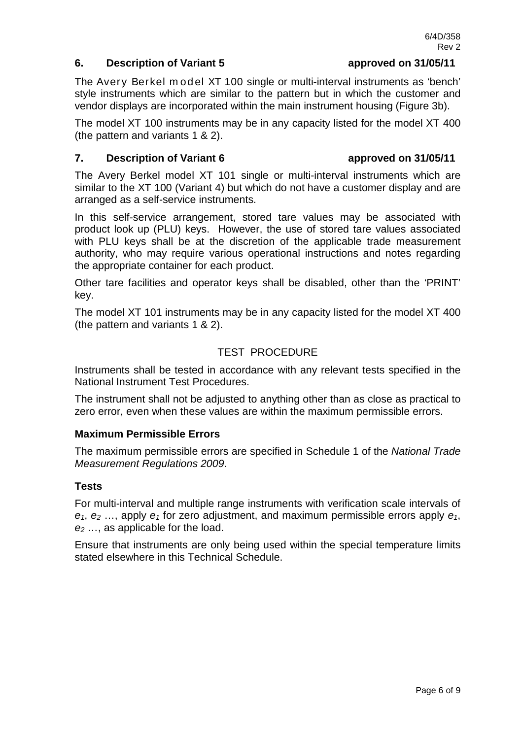### **6. Description of Variant 5 approved on 31/05/11**

The Avery Berkel model XT 100 single or multi-interval instruments as 'bench' style instruments which are similar to the pattern but in which the customer and vendor displays are incorporated within the main instrument housing (Figure 3b).

The model XT 100 instruments may be in any capacity listed for the model XT 400 (the pattern and variants 1 & 2).

#### **7. Description of Variant 6 approved on 31/05/11**

The Avery Berkel model XT 101 single or multi-interval instruments which are similar to the XT 100 (Variant 4) but which do not have a customer display and are arranged as a self-service instruments.

In this self-service arrangement, stored tare values may be associated with product look up (PLU) keys. However, the use of stored tare values associated with PLU keys shall be at the discretion of the applicable trade measurement authority, who may require various operational instructions and notes regarding the appropriate container for each product.

Other tare facilities and operator keys shall be disabled, other than the 'PRINT' key.

The model XT 101 instruments may be in any capacity listed for the model XT 400 (the pattern and variants 1 & 2).

## TEST PROCEDURE

Instruments shall be tested in accordance with any relevant tests specified in the National Instrument Test Procedures.

The instrument shall not be adjusted to anything other than as close as practical to zero error, even when these values are within the maximum permissible errors.

### **Maximum Permissible Errors**

The maximum permissible errors are specified in Schedule 1 of the *National Trade Measurement Regulations 2009*.

#### **Tests**

For multi-interval and multiple range instruments with verification scale intervals of  $e_1$ ,  $e_2$  ..., apply  $e_1$  for zero adjustment, and maximum permissible errors apply  $e_1$ , *e2* …, as applicable for the load.

Ensure that instruments are only being used within the special temperature limits stated elsewhere in this Technical Schedule.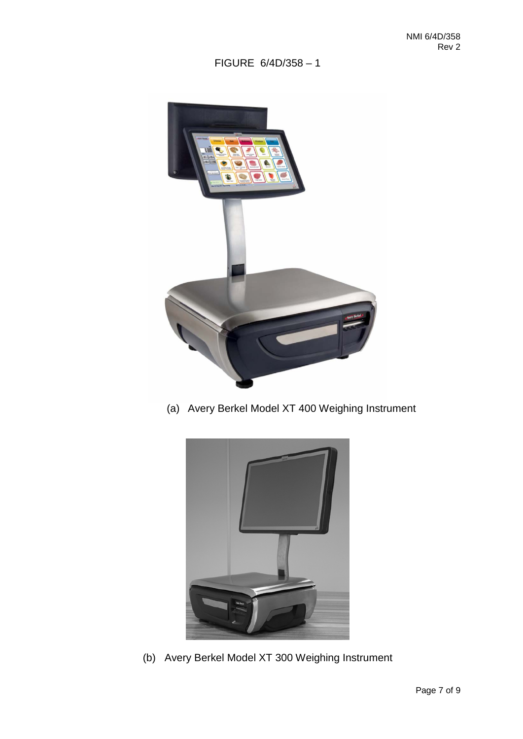# FIGURE 6/4D/358 – 1



(a) Avery Berkel Model XT 400 Weighing Instrument



(b) Avery Berkel Model XT 300 Weighing Instrument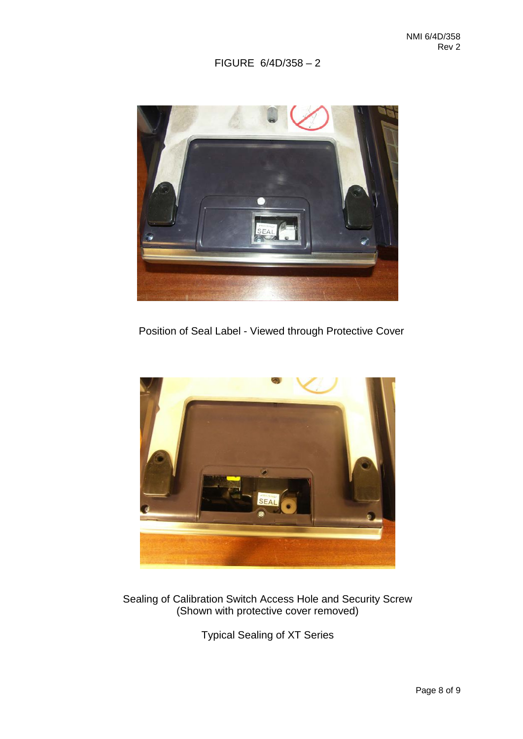FIGURE 6/4D/358 – 2



Position of Seal Label - Viewed through Protective Cover



Sealing of Calibration Switch Access Hole and Security Screw (Shown with protective cover removed)

Typical Sealing of XT Series